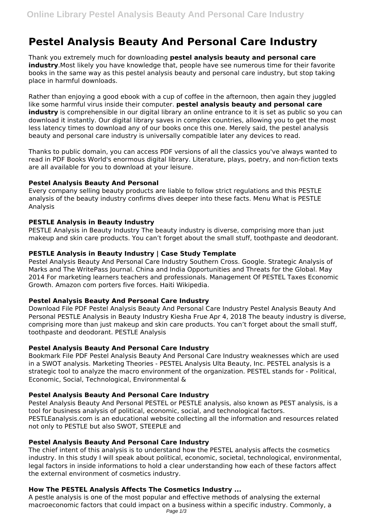# **Pestel Analysis Beauty And Personal Care Industry**

Thank you extremely much for downloading **pestel analysis beauty and personal care industry**.Most likely you have knowledge that, people have see numerous time for their favorite books in the same way as this pestel analysis beauty and personal care industry, but stop taking place in harmful downloads.

Rather than enjoying a good ebook with a cup of coffee in the afternoon, then again they juggled like some harmful virus inside their computer. **pestel analysis beauty and personal care industry** is comprehensible in our digital library an online entrance to it is set as public so you can download it instantly. Our digital library saves in complex countries, allowing you to get the most less latency times to download any of our books once this one. Merely said, the pestel analysis beauty and personal care industry is universally compatible later any devices to read.

Thanks to public domain, you can access PDF versions of all the classics you've always wanted to read in PDF Books World's enormous digital library. Literature, plays, poetry, and non-fiction texts are all available for you to download at your leisure.

# **Pestel Analysis Beauty And Personal**

Every company selling beauty products are liable to follow strict regulations and this PESTLE analysis of the beauty industry confirms dives deeper into these facts. Menu What is PESTLE Analysis

# **PESTLE Analysis in Beauty Industry**

PESTLE Analysis in Beauty Industry The beauty industry is diverse, comprising more than just makeup and skin care products. You can't forget about the small stuff, toothpaste and deodorant.

## **PESTLE Analysis in Beauty Industry | Case Study Template**

Pestel Analysis Beauty And Personal Care Industry Southern Cross. Google. Strategic Analysis of Marks and The WritePass Journal. China and India Opportunities and Threats for the Global. May 2014 For marketing learners teachers and professionals. Management Of PESTEL Taxes Economic Growth. Amazon com porters five forces. Haiti Wikipedia.

#### **Pestel Analysis Beauty And Personal Care Industry**

Download File PDF Pestel Analysis Beauty And Personal Care Industry Pestel Analysis Beauty And Personal PESTLE Analysis in Beauty Industry Kiesha Frue Apr 4, 2018 The beauty industry is diverse, comprising more than just makeup and skin care products. You can't forget about the small stuff, toothpaste and deodorant. PESTLE Analysis

#### **Pestel Analysis Beauty And Personal Care Industry**

Bookmark File PDF Pestel Analysis Beauty And Personal Care Industry weaknesses which are used in a SWOT analysis. Marketing Theories - PESTEL Analysis Ulta Beauty, Inc. PESTEL analysis is a strategic tool to analyze the macro environment of the organization. PESTEL stands for - Political, Economic, Social, Technological, Environmental &

#### **Pestel Analysis Beauty And Personal Care Industry**

Pestel Analysis Beauty And Personal PESTEL or PESTLE analysis, also known as PEST analysis, is a tool for business analysis of political, economic, social, and technological factors. PESTLEanalysis.com is an educational website collecting all the information and resources related not only to PESTLE but also SWOT, STEEPLE and

#### **Pestel Analysis Beauty And Personal Care Industry**

The chief intent of this analysis is to understand how the PESTEL analysis affects the cosmetics industry. In this study I will speak about political, economic, societal, technological, environmental, legal factors in inside informations to hold a clear understanding how each of these factors affect the external environment of cosmetics industry.

# **How The PESTEL Analysis Affects The Cosmetics Industry ...**

A pestle analysis is one of the most popular and effective methods of analysing the external macroeconomic factors that could impact on a business within a specific industry. Commonly, a Page  $1/3$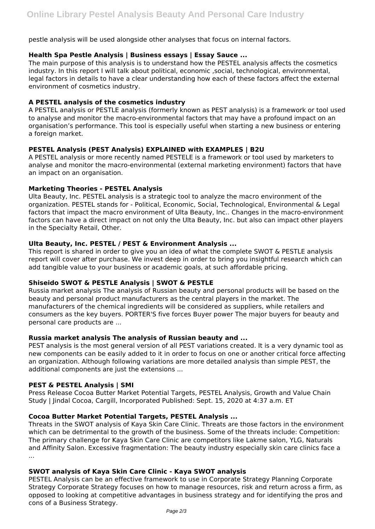pestle analysis will be used alongside other analyses that focus on internal factors.

## **Health Spa Pestle Analysis | Business essays | Essay Sauce ...**

The main purpose of this analysis is to understand how the PESTEL analysis affects the cosmetics industry. In this report I will talk about political, economic ,social, technological, environmental, legal factors in details to have a clear understanding how each of these factors affect the external environment of cosmetics industry.

# **A PESTEL analysis of the cosmetics industry**

A PESTEL analysis or PESTLE analysis (formerly known as PEST analysis) is a framework or tool used to analyse and monitor the macro-environmental factors that may have a profound impact on an organisation's performance. This tool is especially useful when starting a new business or entering a foreign market.

## **PESTEL Analysis (PEST Analysis) EXPLAINED with EXAMPLES | B2U**

A PESTEL analysis or more recently named PESTELE is a framework or tool used by marketers to analyse and monitor the macro-environmental (external marketing environment) factors that have an impact on an organisation.

## **Marketing Theories - PESTEL Analysis**

Ulta Beauty, Inc. PESTEL analysis is a strategic tool to analyze the macro environment of the organization. PESTEL stands for - Political, Economic, Social, Technological, Environmental & Legal factors that impact the macro environment of Ulta Beauty, Inc.. Changes in the macro-environment factors can have a direct impact on not only the Ulta Beauty, Inc. but also can impact other players in the Specialty Retail, Other.

## **Ulta Beauty, Inc. PESTEL / PEST & Environment Analysis ...**

This report is shared in order to give you an idea of what the complete SWOT & PESTLE analysis report will cover after purchase. We invest deep in order to bring you insightful research which can add tangible value to your business or academic goals, at such affordable pricing.

# **Shiseido SWOT & PESTLE Analysis | SWOT & PESTLE**

Russia market analysis The analysis of Russian beauty and personal products will be based on the beauty and personal product manufacturers as the central players in the market. The manufacturers of the chemical ingredients will be considered as suppliers, while retailers and consumers as the key buyers. PORTER'S five forces Buyer power The major buyers for beauty and personal care products are ...

#### **Russia market analysis The analysis of Russian beauty and ...**

PEST analysis is the most general version of all PEST variations created. It is a very dynamic tool as new components can be easily added to it in order to focus on one or another critical force affecting an organization. Although following variations are more detailed analysis than simple PEST, the additional components are just the extensions ...

#### **PEST & PESTEL Analysis | SMI**

Press Release Cocoa Butter Market Potential Targets, PESTEL Analysis, Growth and Value Chain Study | Jindal Cocoa, Cargill, Incorporated Published: Sept. 15, 2020 at 4:37 a.m. ET

# **Cocoa Butter Market Potential Targets, PESTEL Analysis ...**

Threats in the SWOT analysis of Kaya Skin Care Clinic. Threats are those factors in the environment which can be detrimental to the growth of the business. Some of the threats include: Competition: The primary challenge for Kaya Skin Care Clinic are competitors like Lakme salon, YLG, Naturals and Affinity Salon. Excessive fragmentation: The beauty industry especially skin care clinics face a ...

#### **SWOT analysis of Kaya Skin Care Clinic - Kaya SWOT analysis**

PESTEL Analysis can be an effective framework to use in Corporate Strategy Planning Corporate Strategy Corporate Strategy focuses on how to manage resources, risk and return across a firm, as opposed to looking at competitive advantages in business strategy and for identifying the pros and cons of a Business Strategy.